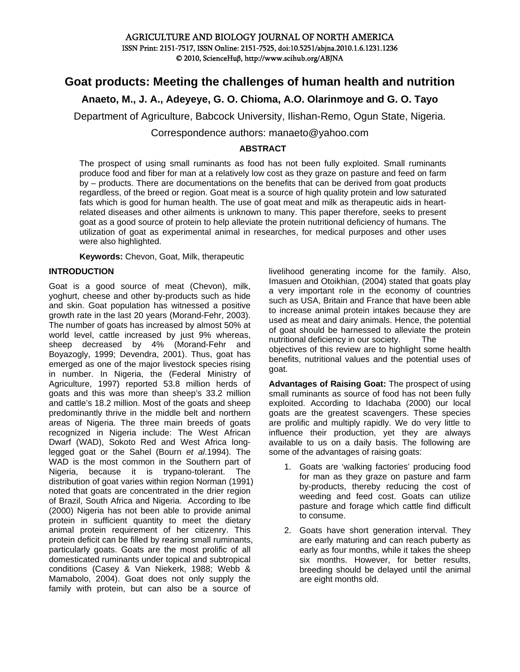## AGRICULTURE AND BIOLOGY JOURNAL OF NORTH AMERICA ISSN Print: 2151-7517, ISSN Online: 2151-7525, doi:10.5251/abjna.2010.1.6.1231.1236 © 2010, ScienceHuβ, http://www.scihub.org/ABJNA

# **Goat products: Meeting the challenges of human health and nutrition**

# **Anaeto, M., J. A., Adeyeye, G. O. Chioma, A.O. Olarinmoye and G. O. Tayo**

Department of Agriculture, Babcock University, Ilishan-Remo, Ogun State, Nigeria.

Correspondence authors: manaeto@yahoo.com

### **ABSTRACT**

The prospect of using small ruminants as food has not been fully exploited. Small ruminants produce food and fiber for man at a relatively low cost as they graze on pasture and feed on farm by – products. There are documentations on the benefits that can be derived from goat products regardless, of the breed or region. Goat meat is a source of high quality protein and low saturated fats which is good for human health. The use of goat meat and milk as therapeutic aids in heartrelated diseases and other ailments is unknown to many. This paper therefore, seeks to present goat as a good source of protein to help alleviate the protein nutritional deficiency of humans. The utilization of goat as experimental animal in researches, for medical purposes and other uses were also highlighted.

**Keywords:** Chevon, Goat, Milk, therapeutic

### **INTRODUCTION**

Goat is a good source of meat (Chevon), milk, yoghurt, cheese and other by-products such as hide and skin. Goat population has witnessed a positive growth rate in the last 20 years (Morand-Fehr, 2003). The number of goats has increased by almost 50% at world level, cattle increased by just 9% whereas, sheep decreased by 4% (Morand-Fehr and Boyazogly, 1999; Devendra, 2001). Thus, goat has emerged as one of the major livestock species rising in number. In Nigeria, the (Federal Ministry of Agriculture, 1997) reported 53.8 million herds of goats and this was more than sheep's 33.2 million and cattle's 18.2 million. Most of the goats and sheep predominantly thrive in the middle belt and northern areas of Nigeria. The three main breeds of goats recognized in Nigeria include: The West African Dwarf (WAD), Sokoto Red and West Africa longlegged goat or the Sahel (Bourn *et al*.1994). The WAD is the most common in the Southern part of Nigeria, because it is trypano-tolerant. The distribution of goat varies within region Norman (1991) noted that goats are concentrated in the drier region of Brazil, South Africa and Nigeria. According to Ibe (2000) Nigeria has not been able to provide animal protein in sufficient quantity to meet the dietary animal protein requirement of her citizenry. This protein deficit can be filled by rearing small ruminants, particularly goats. Goats are the most prolific of all domesticated ruminants under topical and subtropical conditions (Casey & Van Niekerk, 1988; Webb & Mamabolo, 2004). Goat does not only supply the family with protein, but can also be a source of

livelihood generating income for the family. Also, Imasuen and Otoikhian, (2004) stated that goats play a very important role in the economy of countries such as USA, Britain and France that have been able to increase animal protein intakes because they are used as meat and dairy animals. Hence, the potential of goat should be harnessed to alleviate the protein nutritional deficiency in our society. The objectives of this review are to highlight some health benefits, nutritional values and the potential uses of goat.

**Advantages of Raising Goat:** The prospect of using small ruminants as source of food has not been fully exploited. According to Idachaba (2000) our local goats are the greatest scavengers. These species are prolific and multiply rapidly. We do very little to influence their production, yet they are always available to us on a daily basis. The following are some of the advantages of raising goats:

- 1. Goats are 'walking factories' producing food for man as they graze on pasture and farm by-products, thereby reducing the cost of weeding and feed cost. Goats can utilize pasture and forage which cattle find difficult to consume.
- 2. Goats have short generation interval. They are early maturing and can reach puberty as early as four months, while it takes the sheep six months. However, for better results, breeding should be delayed until the animal are eight months old.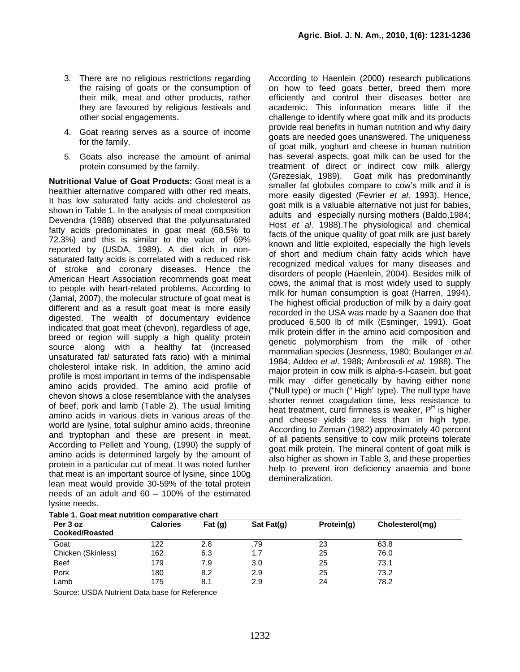- 3. There are no religious restrictions regarding the raising of goats or the consumption of their milk, meat and other products, rather they are favoured by religious festivals and other social engagements.
- 4. Goat rearing serves as a source of income for the family.
- 5. Goats also increase the amount of animal protein consumed by the family.

**Nutritional Value of Goat Products:** Goat meat is a healthier alternative compared with other red meats. It has low saturated fatty acids and cholesterol as shown in Table 1. In the analysis of meat composition Devendra (1988) observed that the polyunsaturated fatty acids predominates in goat meat (68.5% to 72.3%) and this is similar to the value of 69% reported by (USDA, 1989). A diet rich in nonsaturated fatty acids is correlated with a reduced risk of stroke and coronary diseases. Hence the American Heart Association recommends goat meat to people with heart-related problems. According to (Jamal, 2007), the molecular structure of goat meat is different and as a result goat meat is more easily digested. The wealth of documentary evidence indicated that goat meat (chevon), regardless of age, breed or region will supply a high quality protein source along with a healthy fat (increased unsaturated fat/ saturated fats ratio) with a minimal cholesterol intake risk. In addition, the amino acid profile is most important in terms of the indispensable amino acids provided. The amino acid profile of chevon shows a close resemblance with the analyses of beef, pork and lamb (Table 2). The usual limiting amino acids in various diets in various areas of the world are lysine, total sulphur amino acids, threonine and tryptophan and these are present in meat. According to Pellett and Young, (1990) the supply of amino acids is determined largely by the amount of protein in a particular cut of meat. It was noted further that meat is an important source of lysine, since 100g lean meat would provide 30-59% of the total protein needs of an adult and 60 – 100% of the estimated lysine needs.

According to Haenlein (2000) research publications on how to feed goats better, breed them more efficiently and control their diseases better are academic. This information means little if the challenge to identify where goat milk and its products provide real benefits in human nutrition and why dairy goats are needed goes unanswered. The uniqueness of goat milk, yoghurt and cheese in human nutrition has several aspects, goat milk can be used for the treatment of direct or indirect cow milk allergy (Grezesiak, 1989). Goat milk has predominantly smaller fat globules compare to cow's milk and it is more easily digested (Fevrier *et al*. 1993). Hence, goat milk is a valuable alternative not just for babies, adults and especially nursing mothers (Baldo,1984; Host *et al*. 1988).The physiological and chemical facts of the unique quality of goat milk are just barely known and little exploited, especially the high levels of short and medium chain fatty acids which have recognized medical values for many diseases and disorders of people (Haenlein, 2004). Besides milk of cows, the animal that is most widely used to supply milk for human consumption is goat (Harren, 1994). The highest official production of milk by a dairy goat recorded in the USA was made by a Saanen doe that produced 6,500 lb of milk (Esminger, 1991). Goat milk protein differ in the amino acid composition and genetic polymorphism from the milk of other mammalian species (Jesnness, 1980; Boulanger *et al*. 1984; Addeo *et al*. 1988; Ambrosoli *et al*. 1988). The major protein in cow milk is alpha-s-l-casein, but goat milk may differ genetically by having either none ("Null type) or much (" High" type). The null type have shorter rennet coagulation time, less resistance to heat treatment, curd firmness is weaker, P<sup>H</sup> is higher and cheese yields are less than in high type. According to Zeman (1982) approximately 40 percent of all patients sensitive to cow milk proteins tolerate goat milk protein. The mineral content of goat milk is also higher as shown in Table 3, and these properties help to prevent iron deficiency anaemia and bone demineralization.

| Per 3 oz<br><b>Cooked/Roasted</b> | <b>Calories</b> | Fat $(q)$ | Sat Fat(q) | Protein(g) | Cholesterol(mg) |
|-----------------------------------|-----------------|-----------|------------|------------|-----------------|
| Goat                              | 122             | 2.8       | .79        | 23         | 63.8            |
| Chicken (Skinless)                | 162             | 6.3       | 1.7        | 25         | 76.0            |
| <b>Beef</b>                       | 179             | 7.9       | 3.0        | 25         | 73.1            |
| Pork                              | 180             | 8.2       | 2.9        | 25         | 73.2            |
| Lamb                              | 175             | 8.1       | 2.9        | 24         | 78.2            |

.<br>Table 4. Goot meast nutrition comparative

Source: USDA Nutrient Data base for Reference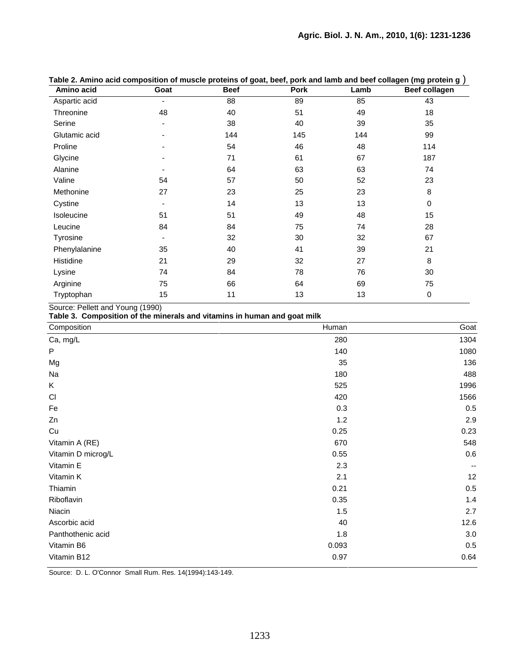| rapic 2. Animo abia composition or masoic proteins or goat, beer, pork and iamb and beer conagen (ing protein g<br>Amino acid | Goat                     | <b>Beef</b> | Pork | Lamb | <b>Beef collagen</b> |
|-------------------------------------------------------------------------------------------------------------------------------|--------------------------|-------------|------|------|----------------------|
| Aspartic acid                                                                                                                 | ۰                        | 88          | 89   | 85   | 43                   |
| Threonine                                                                                                                     | 48                       | 40          | 51   | 49   | 18                   |
| Serine                                                                                                                        | $\overline{\phantom{a}}$ | 38          | 40   | 39   | 35                   |
| Glutamic acid                                                                                                                 | ۰                        | 144         | 145  | 144  | 99                   |
| Proline                                                                                                                       |                          | 54          | 46   | 48   | 114                  |
| Glycine                                                                                                                       |                          | 71          | 61   | 67   | 187                  |
| Alanine                                                                                                                       |                          | 64          | 63   | 63   | 74                   |
| Valine                                                                                                                        | 54                       | 57          | 50   | 52   | 23                   |
| Methonine                                                                                                                     | 27                       | 23          | 25   | 23   | 8                    |
| Cystine                                                                                                                       | -                        | 14          | 13   | 13   | $\pmb{0}$            |
| Isoleucine                                                                                                                    | 51                       | 51          | 49   | 48   | 15                   |
| Leucine                                                                                                                       | 84                       | 84          | 75   | 74   | 28                   |
| Tyrosine                                                                                                                      |                          | 32          | 30   | 32   | 67                   |
| Phenylalanine                                                                                                                 | 35                       | 40          | 41   | 39   | 21                   |
| Histidine                                                                                                                     | 21                       | 29          | 32   | 27   | 8                    |
| Lysine                                                                                                                        | 74                       | 84          | 78   | 76   | 30                   |
| Arginine                                                                                                                      | 75                       | 66          | 64   | 69   | 75                   |
| Tryptophan                                                                                                                    | 15                       | 11          | 13   | 13   | 0                    |

**Table 2. Amino acid composition of muscle proteins of goat, beef, pork and lamb and beef collagen (mg protein g** )

Source: Pellett and Young (1990)

**Table 3. Composition of the minerals and vitamins in human and goat milk** 

| Composition        | Human | Goat |
|--------------------|-------|------|
| Ca, mg/L           | 280   | 1304 |
| ${\sf P}$          | 140   | 1080 |
| Mg                 | 35    | 136  |
| Na                 | 180   | 488  |
| K                  | 525   | 1996 |
| CI                 | 420   | 1566 |
| Fe                 | 0.3   | 0.5  |
| Zn                 | 1.2   | 2.9  |
| Cu                 | 0.25  | 0.23 |
| Vitamin A (RE)     | 670   | 548  |
| Vitamin D microg/L | 0.55  | 0.6  |
| Vitamin E          | 2.3   |      |
| Vitamin K          | 2.1   | 12   |
| Thiamin            | 0.21  | 0.5  |
| Riboflavin         | 0.35  | 1.4  |
| Niacin             | 1.5   | 2.7  |
| Ascorbic acid      | 40    | 12.6 |
| Panthothenic acid  | 1.8   | 3.0  |
| Vitamin B6         | 0.093 | 0.5  |
| Vitamin B12        | 0.97  | 0.64 |

Source: D. L. O'Connor Small Rum. Res. 14(1994):143-149.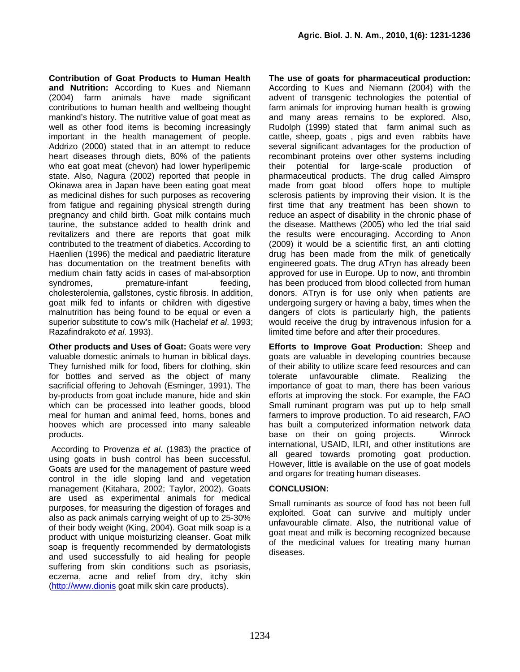**Contribution of Goat Products to Human Health and Nutrition:** According to Kues and Niemann (2004) farm animals have made significant contributions to human health and wellbeing thought mankind's history. The nutritive value of goat meat as well as other food items is becoming increasingly important in the health management of people. Addrizo (2000) stated that in an attempt to reduce heart diseases through diets, 80% of the patients who eat goat meat (chevon) had lower hyperlipemic state. Also, Nagura (2002) reported that people in Okinawa area in Japan have been eating goat meat as medicinal dishes for such purposes as recovering from fatigue and regaining physical strength during pregnancy and child birth. Goat milk contains much taurine, the substance added to health drink and revitalizers and there are reports that goat milk contributed to the treatment of diabetics. According to Haenlien (1996) the medical and paediatric literature has documentation on the treatment benefits with medium chain fatty acids in cases of mal-absorption syndromes, premature-infant feeding, cholesterolemia, gallstones, cystic fibrosis. In addition, goat milk fed to infants or children with digestive malnutrition has being found to be equal or even a superior substitute to cow's milk (Hachelaf *et al*. 1993; Razafindrakoto *et al*. 1993).

**Other products and Uses of Goat: Goats were very** valuable domestic animals to human in biblical days. They furnished milk for food, fibers for clothing, skin for bottles and served as the object of many sacrificial offering to Jehovah (Esminger, 1991). The by-products from goat include manure, hide and skin which can be processed into leather goods, blood meal for human and animal feed, horns, bones and hooves which are processed into many saleable products.

 According to Provenza *et al*. (1983) the practice of using goats in bush control has been successful. Goats are used for the management of pasture weed control in the idle sloping land and vegetation management (Kitahara, 2002; Taylor, 2002). Goats are used as experimental animals for medical purposes, for measuring the digestion of forages and also as pack animals carrying weight of up to 25-30% of their body weight (King, 2004). Goat milk soap is a product with unique moisturizing cleanser. Goat milk soap is frequently recommended by dermatologists and used successfully to aid healing for people suffering from skin conditions such as psoriasis, eczema, acne and relief from dry, itchy skin ([http://www.dionis](http://www.dionis/) goat milk skin care products).

**The use of goats for pharmaceutical production:**  According to Kues and Niemann (2004) with the advent of transgenic technologies the potential of farm animals for improving human health is growing and many areas remains to be explored. Also, Rudolph (1999) stated that farm animal such as cattle, sheep, goats , pigs and even rabbits have several significant advantages for the production of recombinant proteins over other systems including their potential for large-scale production of pharmaceutical products. The drug called Aimspro made from goat blood offers hope to multiple sclerosis patients by improving their vision. It is the first time that any treatment has been shown to reduce an aspect of disability in the chronic phase of the disease. Matthews (2005) who led the trial said the results were encouraging. According to Anon (2009) it would be a scientific first, an anti clotting drug has been made from the milk of genetically engineered goats. The drug ATryn has already been approved for use in Europe. Up to now, anti thrombin has been produced from blood collected from human donors. ATryn is for use only when patients are undergoing surgery or having a baby, times when the dangers of clots is particularly high, the patients would receive the drug by intravenous infusion for a limited time before and after their procedures.

**Efforts to Improve Goat Production:** Sheep and goats are valuable in developing countries because of their ability to utilize scare feed resources and can tolerate unfavourable climate. Realizing the importance of goat to man, there has been various efforts at improving the stock. For example, the FAO Small ruminant program was put up to help small farmers to improve production. To aid research, FAO has built a computerized information network data base on their on going projects. Winrock international, USAID, ILRI, and other institutions are all geared towards promoting goat production. However, little is available on the use of goat models and organs for treating human diseases.

## **CONCLUSION:**

Small ruminants as source of food has not been full exploited. Goat can survive and multiply under unfavourable climate. Also, the nutritional value of goat meat and milk is becoming recognized because of the medicinal values for treating many human diseases.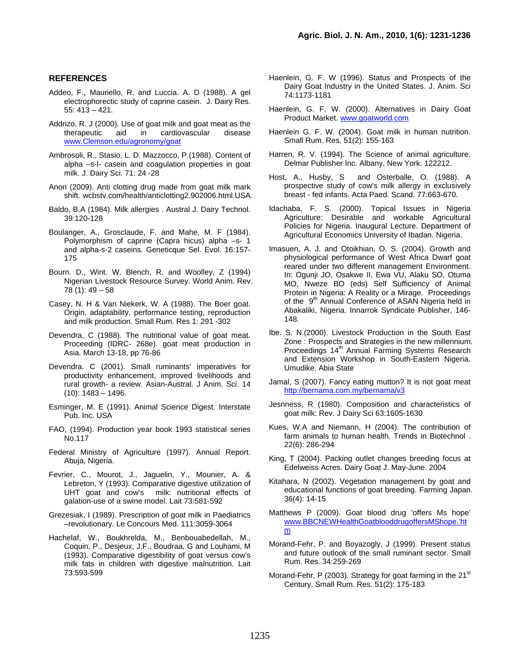#### **REFERENCES**

- Addeo, F., Mauriello, R. and Luccia. A. D (1988). A gel electrophorectic study of caprine casein. J. Dairy Res. 55: 413 – 421.
- Addrizo, R. J (2000). Use of goat milk and goat meat as the therapeutic aid in cardiovascular disease [www.Clemson.edu/agronomy/goat](http://www.clemson.edu/agronomy/goat)
- Ambrosoli, R., Stasio, L. D. Mazzocco, P (1988). Content of alpha –s-l- casein and coagulation properties in goat milk. J. Dairy Sci. 71: 24 -28
- Anon (2009). Anti clotting drug made from goat milk mark shift. wcbstv.com/health/anticlotting2.902006.html.USA.
- Baldo, B.A (1984). Milk allergies . Austral J. Dairy Technol. 39:120-128
- Boulanger, A., Grosclaude, F. and Mahe, M. F (1984). Polymorphism of caprine (Capra hicus) alpha –s- 1 and alpha-s-2 caseins. Geneticque Sel. Evol. 16:157- 175
- Bourn. D., Wint. W. Blench, R. and Woolley, Z (1994) Nigerian Livestock Resource Survey. World Anim. Rev.  $78(1): 49-58$
- Casey, N. H & Van Niekerk, W. A (1988). The Boer goat. Origin, adaptability, performance testing, reproduction and milk production. Small Rum. Res 1: 291 -302
- Devendra, C (1988). The nutritional value of goat meat. Proceeding (IDRC- 268e). goat meat production in Asia. March 13-18, pp 76-86
- Devendra. C (2001). Small ruminants' imperatives for productivity enhancement, improved livelihoods and rural growth- a review. Asian-Austral. J Anim. Sci. 14  $(10): 1483 - 1496.$
- Esminger, M. E (1991). Animal Science Digest. Interstate Pub. Inc. USA
- FAO, (1994). Production year book 1993 statistical series No.117
- Federal Ministry of Agriculture (1997). Annual Report. Abuja, Nigeria.
- Fevrier, C., Mourot, J., Jaguelin, Y., Mounier, A. & Lebreton, Y (1993). Comparative digestive utilization of UHT goat and cow's milk: nutritional effects of galation-use of a swine model. Lait 73:581-592
- Grezesiak, I (1989). Prescription of goat milk in Paediatrics –revolutionary. Le Concours Med. 111:3059-3064
- Hachelaf, W., Boukhrelda, M., Benbouabedellah, M., Coquin, P., Desjeux, J.F., Boudraa, G and Louhami, M (1993). Comparative digestibility of goat versus cow's milk fats in children with digestive malnutrition. Lait 73:593-599
- Haenlein, G. F. W (1996). Status and Prospects of the Dairy Goat Industry in the United States. J. Anim. Sci 74:1173-1181
- Haenlein, G. F. W. (2000). Alternatives in Dairy Goat Product Market. [www.goatworld.com](http://www.goatworkd.com/)
- Haenlein G. F. W. (2004). Goat milk in human nutrition. Small Rum. Res. 51(2): 155-163
- Harren, R. V. (1994). The Science of animal agriculture. Delmar Publisher Inc. Albany, New York. 122212.
- Host, A., Husby, S and Osterballe, O. (1988). A prospective study of cow's milk allergy in exclusively breast - fed infants. Acta Paed. Scand. 77:663-670.
- Idachaba, F. S. (2000). Topical Issues in Nigeria Agriculture: Desirable and workable Agricultural Policies for Nigeria. Inaugural Lecture. Department of Agricultural Economics University of Ibadan. Nigeria.
- Imasuen, A. J. and Otoikhian, O. S. (2004). Growth and physiological performance of West Africa Dwarf goat reared under two different management Environment. In: Ogunji JO, Osakwe II, Ewa VU, Alaku SO, Otuma MO, Nweze BO (eds) Self Sufficiency of Animal Protein in Nigeria: A Reality or a Mirage. Proceedings of the 9<sup>th</sup> Annual Conference of ASAN Nigeria held in Abakaliki, Nigeria. Innarrok Syndicate Publisher, 146- 148.
- Ibe. S. N.(2000). Livestock Production in the South East Zone : Prospects and Strategies in the new millennium. Proceedings 14<sup>th</sup> Annual Farming Systems Research and Extension Workshop in South-Eastern Nigeria. Umudike. Abia State
- Jamal, S (2007). Fancy eating mutton? It is not goat meat <http://bernama.com.my/bernama/v3>
- Jesnness, R (1980). Composition and characteristics of goat milk: Rev. J Dairy Sci 63:1605-1630
- Kues, W.A and Niemann, H (2004). The contribution of farm animals to human health. Trends in Biotechnol . 22(6): 286-294
- King, T (2004). Packing outlet changes breeding focus at Edelweiss Acres. Dairy Goat J. May-June. 2004
- Kitahara, N (2002). Vegetation management by goat and educational functions of goat breeding. Farming Japan. 36(4): 14-15
- Matthews P (2009). Goat blood drug 'offers Ms hope' [www.BBCNEWHealthGoatblooddrugoffersMShope.'ht](http://www.bbcnewhealthgoatblooddrugloffersmshope.) [m](http://www.bbcnewhealthgoatblooddrugloffersmshope.)
- Morand-Fehr, P. and Boyazogly, J (1999). Present status and future outlook of the small ruminant sector. Small Rum. Res. 34:259-269
- Morand-Fehr, P (2003). Strategy for goat farming in the 21<sup>st</sup> Century. Small Rum. Res. 51(2): 175-183